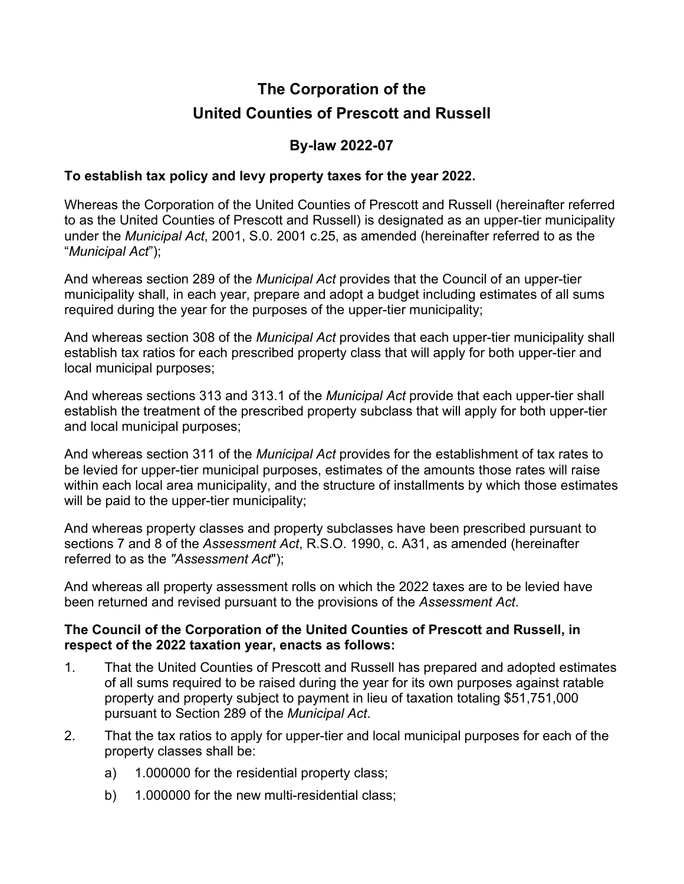# **The Corporation of the United Counties of Prescott and Russell**

### **By-law 2022-07**

#### **To establish tax policy and levy property taxes for the year 2022.**

Whereas the Corporation of the United Counties of Prescott and Russell (hereinafter referred to as the United Counties of Prescott and Russell) is designated as an upper-tier municipality under the *Municipal Act*, 2001, S.0. 2001 c.25, as amended (hereinafter referred to as the "*Municipal Act*");

And whereas section 289 of the *Municipal Act* provides that the Council of an upper-tier municipality shall, in each year, prepare and adopt a budget including estimates of all sums required during the year for the purposes of the upper-tier municipality;

And whereas section 308 of the *Municipal Act* provides that each upper-tier municipality shall establish tax ratios for each prescribed property class that will apply for both upper-tier and local municipal purposes;

And whereas sections 313 and 313.1 of the *Municipal Act* provide that each upper-tier shall establish the treatment of the prescribed property subclass that will apply for both upper-tier and local municipal purposes;

And whereas section 311 of the *Municipal Act* provides for the establishment of tax rates to be levied for upper-tier municipal purposes, estimates of the amounts those rates will raise within each local area municipality, and the structure of installments by which those estimates will be paid to the upper-tier municipality;

And whereas property classes and property subclasses have been prescribed pursuant to sections 7 and 8 of the *Assessment Act*, R.S.O. 1990, c. A31, as amended (hereinafter referred to as the *"Assessment Act*");

And whereas all property assessment rolls on which the 2022 taxes are to be levied have been returned and revised pursuant to the provisions of the *Assessment Act*.

#### **The Council of the Corporation of the United Counties of Prescott and Russell, in respect of the 2022 taxation year, enacts as follows:**

- 1. That the United Counties of Prescott and Russell has prepared and adopted estimates of all sums required to be raised during the year for its own purposes against ratable property and property subject to payment in lieu of taxation totaling \$51,751,000 pursuant to Section 289 of the *Municipal Act*.
- 2. That the tax ratios to apply for upper-tier and local municipal purposes for each of the property classes shall be:
	- a) 1.000000 for the residential property class;
	- b) 1.000000 for the new multi-residential class;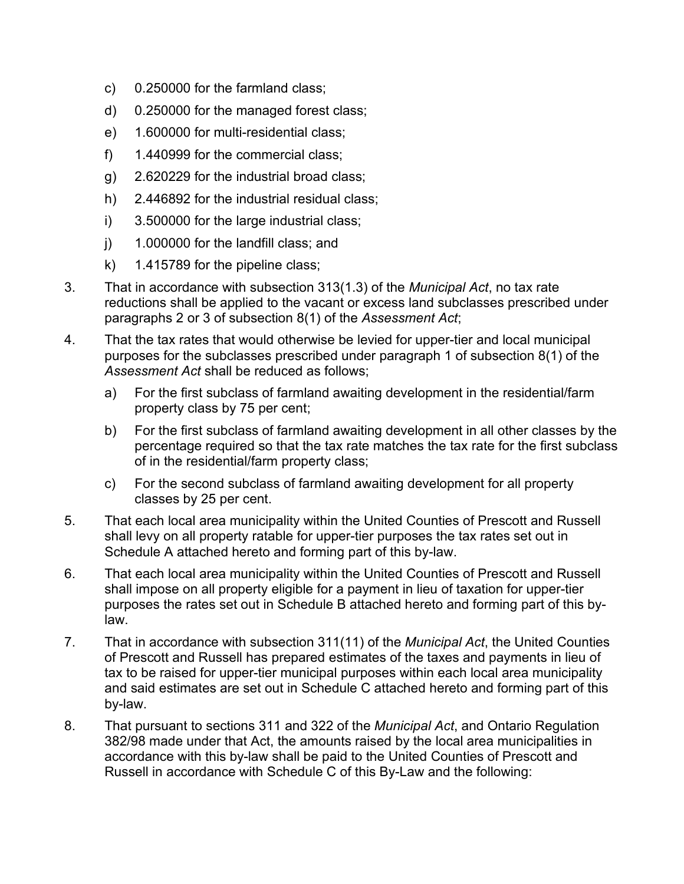- c) 0.250000 for the farmland class;
- d) 0.250000 for the managed forest class;
- e) 1.600000 for multi-residential class;
- f) 1.440999 for the commercial class;
- g) 2.620229 for the industrial broad class;
- h) 2.446892 for the industrial residual class;
- i) 3.500000 for the large industrial class;
- j) 1.000000 for the landfill class; and
- k) 1.415789 for the pipeline class;
- 3. That in accordance with subsection 313(1.3) of the *Municipal Act*, no tax rate reductions shall be applied to the vacant or excess land subclasses prescribed under paragraphs 2 or 3 of subsection 8(1) of the *Assessment Act*;
- 4. That the tax rates that would otherwise be levied for upper-tier and local municipal purposes for the subclasses prescribed under paragraph 1 of subsection 8(1) of the *Assessment Act* shall be reduced as follows;
	- a) For the first subclass of farmland awaiting development in the residential/farm property class by 75 per cent;
	- b) For the first subclass of farmland awaiting development in all other classes by the percentage required so that the tax rate matches the tax rate for the first subclass of in the residential/farm property class;
	- c) For the second subclass of farmland awaiting development for all property classes by 25 per cent.
- 5. That each local area municipality within the United Counties of Prescott and Russell shall levy on all property ratable for upper-tier purposes the tax rates set out in Schedule A attached hereto and forming part of this by-law.
- 6. That each local area municipality within the United Counties of Prescott and Russell shall impose on all property eligible for a payment in lieu of taxation for upper-tier purposes the rates set out in Schedule B attached hereto and forming part of this bylaw.
- 7. That in accordance with subsection 311(11) of the *Municipal Act*, the United Counties of Prescott and Russell has prepared estimates of the taxes and payments in lieu of tax to be raised for upper-tier municipal purposes within each local area municipality and said estimates are set out in Schedule C attached hereto and forming part of this by-law.
- 8. That pursuant to sections 311 and 322 of the *Municipal Act*, and Ontario Regulation 382/98 made under that Act, the amounts raised by the local area municipalities in accordance with this by-law shall be paid to the United Counties of Prescott and Russell in accordance with Schedule C of this By-Law and the following: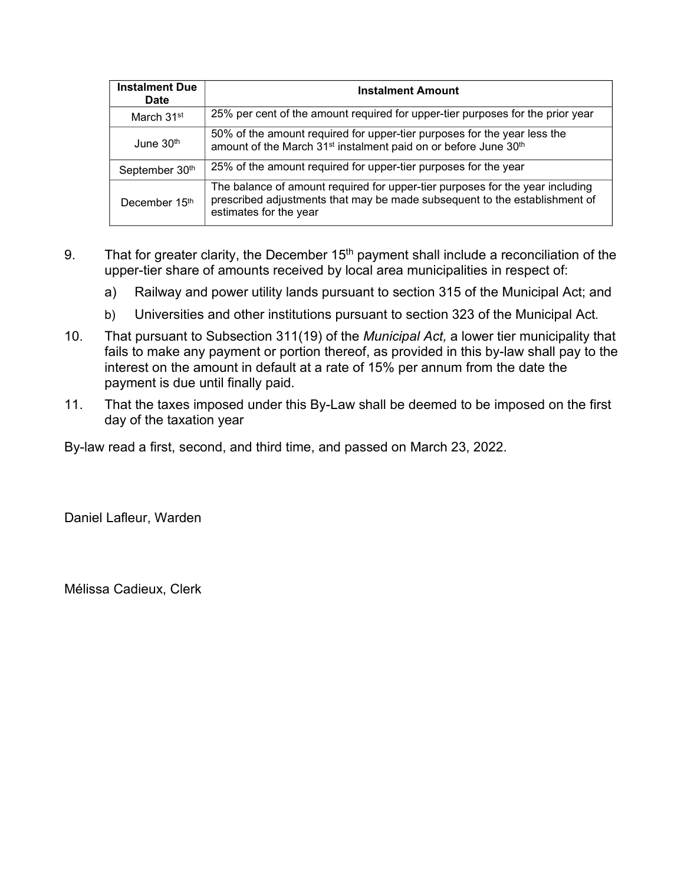| <b>Instalment Due</b><br>Date | <b>Instalment Amount</b>                                                                                                                                                              |
|-------------------------------|---------------------------------------------------------------------------------------------------------------------------------------------------------------------------------------|
| March 31 <sup>st</sup>        | 25% per cent of the amount required for upper-tier purposes for the prior year                                                                                                        |
| June 30 <sup>th</sup>         | 50% of the amount required for upper-tier purposes for the year less the<br>amount of the March 31 <sup>st</sup> instalment paid on or before June 30 <sup>th</sup>                   |
| September 30th                | 25% of the amount required for upper-tier purposes for the year                                                                                                                       |
| December 15 <sup>th</sup>     | The balance of amount required for upper-tier purposes for the year including<br>prescribed adjustments that may be made subsequent to the establishment of<br>estimates for the year |

- 9. That for greater clarity, the December  $15<sup>th</sup>$  payment shall include a reconciliation of the upper-tier share of amounts received by local area municipalities in respect of:
	- a) Railway and power utility lands pursuant to section 315 of the Municipal Act; and
	- b) Universities and other institutions pursuant to section 323 of the Municipal Act*.*
- 10. That pursuant to Subsection 311(19) of the *Municipal Act,* a lower tier municipality that fails to make any payment or portion thereof, as provided in this by-law shall pay to the interest on the amount in default at a rate of 15% per annum from the date the payment is due until finally paid.
- 11. That the taxes imposed under this By-Law shall be deemed to be imposed on the first day of the taxation year

By-law read a first, second, and third time, and passed on March 23, 2022.

Daniel Lafleur, Warden

Mélissa Cadieux, Clerk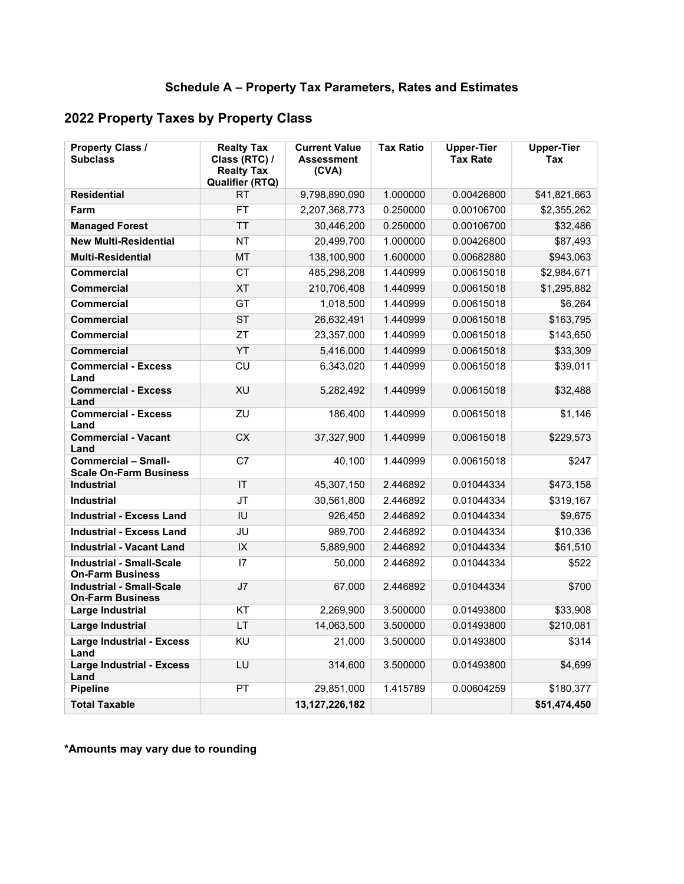## **2022 Property Taxes by Property Class**

| <b>Property Class /</b><br><b>Subclass</b>                  | <b>Realty Tax</b><br>Class (RTC) /<br><b>Realty Tax</b><br><b>Qualifier (RTQ)</b> | <b>Current Value</b><br><b>Assessment</b><br>(CVA) | <b>Tax Ratio</b> | <b>Upper-Tier</b><br><b>Tax Rate</b> | <b>Upper-Tier</b><br><b>Tax</b> |
|-------------------------------------------------------------|-----------------------------------------------------------------------------------|----------------------------------------------------|------------------|--------------------------------------|---------------------------------|
| <b>Residential</b>                                          | <b>RT</b>                                                                         | 9,798,890,090                                      | 1.000000         | 0.00426800                           | \$41,821,663                    |
| Farm                                                        | <b>FT</b>                                                                         | 2,207,368,773                                      | 0.250000         | 0.00106700                           | \$2,355,262                     |
| <b>Managed Forest</b>                                       | <b>TT</b>                                                                         | 30,446,200                                         | 0.250000         | 0.00106700                           | \$32,486                        |
| <b>New Multi-Residential</b>                                | <b>NT</b>                                                                         | 20,499,700                                         | 1.000000         | 0.00426800                           | \$87,493                        |
| <b>Multi-Residential</b>                                    | MT                                                                                | 138,100,900                                        | 1.600000         | 0.00682880                           | \$943,063                       |
| <b>Commercial</b>                                           | CT                                                                                | 485,298,208                                        | 1.440999         | 0.00615018                           | \$2,984,671                     |
| <b>Commercial</b>                                           | <b>XT</b>                                                                         | 210,706,408                                        | 1.440999         | 0.00615018                           | \$1,295,882                     |
| <b>Commercial</b>                                           | GT                                                                                | 1,018,500                                          | 1.440999         | 0.00615018                           | \$6,264                         |
| <b>Commercial</b>                                           | <b>ST</b>                                                                         | 26,632,491                                         | 1.440999         | 0.00615018                           | \$163,795                       |
| <b>Commercial</b>                                           | ZT                                                                                | 23,357,000                                         | 1.440999         | 0.00615018                           | \$143,650                       |
| <b>Commercial</b>                                           | YT                                                                                | 5,416,000                                          | 1.440999         | 0.00615018                           | \$33,309                        |
| <b>Commercial - Excess</b><br>Land                          | CU                                                                                | 6,343,020                                          | 1.440999         | 0.00615018                           | \$39,011                        |
| <b>Commercial - Excess</b><br>Land                          | XU                                                                                | 5,282,492                                          | 1.440999         | 0.00615018                           | \$32,488                        |
| <b>Commercial - Excess</b><br>Land                          | ZU                                                                                | 186,400                                            | 1.440999         | 0.00615018                           | \$1,146                         |
| <b>Commercial - Vacant</b><br>Land                          | CX                                                                                | 37,327,900                                         | 1.440999         | 0.00615018                           | \$229,573                       |
| <b>Commercial - Small-</b><br><b>Scale On-Farm Business</b> | C <sub>7</sub>                                                                    | 40,100                                             | 1.440999         | 0.00615018                           | \$247                           |
| <b>Industrial</b>                                           | IT                                                                                | 45,307,150                                         | 2.446892         | 0.01044334                           | \$473,158                       |
| <b>Industrial</b>                                           | $\overline{\mathsf{J}\mathsf{T}}$                                                 | 30,561,800                                         | 2.446892         | 0.01044334                           | \$319,167                       |
| <b>Industrial - Excess Land</b>                             | IU                                                                                | 926,450                                            | 2.446892         | 0.01044334                           | \$9,675                         |
| <b>Industrial - Excess Land</b>                             | JU                                                                                | 989,700                                            | 2.446892         | 0.01044334                           | \$10,336                        |
| <b>Industrial - Vacant Land</b>                             | $\overline{\mathsf{IX}}$                                                          | 5,889,900                                          | 2.446892         | 0.01044334                           | \$61,510                        |
| <b>Industrial - Small-Scale</b><br><b>On-Farm Business</b>  | 17                                                                                | 50,000                                             | 2.446892         | 0.01044334                           | \$522                           |
| <b>Industrial - Small-Scale</b><br><b>On-Farm Business</b>  | J <sub>7</sub>                                                                    | 67,000                                             | 2.446892         | 0.01044334                           | \$700                           |
| Large Industrial                                            | KT                                                                                | 2,269,900                                          | 3.500000         | 0.01493800                           | \$33,908                        |
| <b>Large Industrial</b>                                     | <b>LT</b>                                                                         | 14,063,500                                         | 3.500000         | 0.01493800                           | \$210,081                       |
| <b>Large Industrial - Excess</b><br>Land                    | <b>KU</b>                                                                         | 21,000                                             | 3.500000         | 0.01493800                           | \$314                           |
| <b>Large Industrial - Excess</b><br>Land                    | LU                                                                                | 314,600                                            | 3.500000         | 0.01493800                           | \$4,699                         |
| <b>Pipeline</b>                                             | PT                                                                                | 29,851,000                                         | 1.415789         | 0.00604259                           | \$180,377                       |
| <b>Total Taxable</b>                                        |                                                                                   | 13, 127, 226, 182                                  |                  |                                      | \$51,474,450                    |

**\*Amounts may vary due to rounding**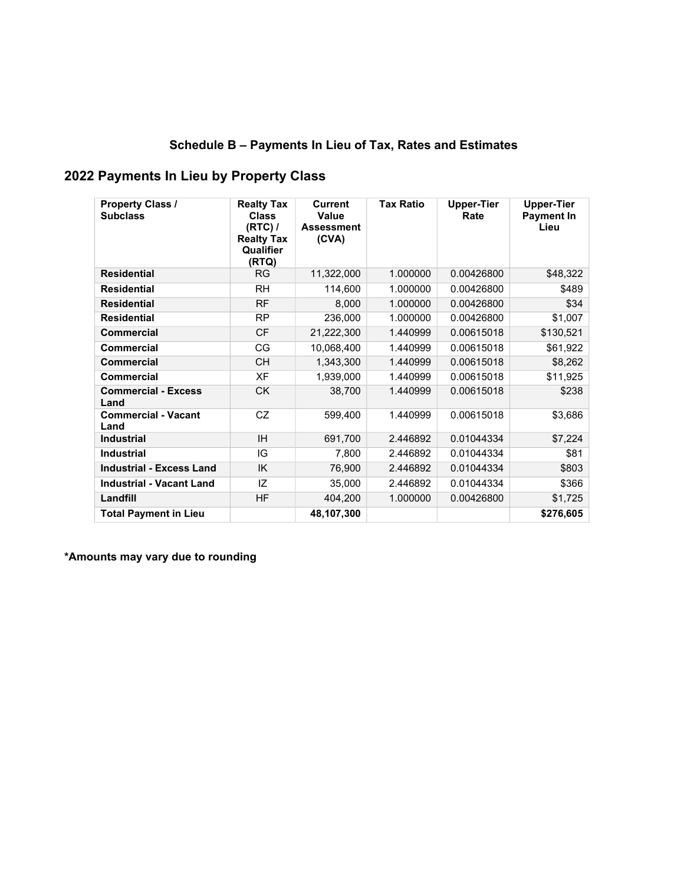## **Schedule B – Payments In Lieu of Tax, Rates and Estimates**

## **2022 Payments In Lieu by Property Class**

| <b>Property Class /</b><br><b>Subclass</b> | <b>Realty Tax</b><br><b>Class</b><br>$(RTC)$ /<br><b>Realty Tax</b><br>Qualifier<br>(RTQ) | <b>Current</b><br>Value<br><b>Assessment</b><br>(CVA) | <b>Tax Ratio</b> | <b>Upper-Tier</b><br>Rate | <b>Upper-Tier</b><br><b>Payment In</b><br>Lieu |
|--------------------------------------------|-------------------------------------------------------------------------------------------|-------------------------------------------------------|------------------|---------------------------|------------------------------------------------|
| <b>Residential</b>                         | <b>RG</b>                                                                                 | 11,322,000                                            | 1.000000         | 0.00426800                | \$48,322                                       |
| <b>Residential</b>                         | <b>RH</b>                                                                                 | 114,600                                               | 1.000000         | 0.00426800                | \$489                                          |
| <b>Residential</b>                         | <b>RF</b>                                                                                 | 8,000                                                 | 1.000000         | 0.00426800                | \$34                                           |
| <b>Residential</b>                         | <b>RP</b>                                                                                 | 236,000                                               | 1.000000         | 0.00426800                | \$1,007                                        |
| <b>Commercial</b>                          | <b>CF</b>                                                                                 | 21,222,300                                            | 1.440999         | 0.00615018                | \$130,521                                      |
| Commercial                                 | CG                                                                                        | 10,068,400                                            | 1.440999         | 0.00615018                | \$61,922                                       |
| <b>Commercial</b>                          | <b>CH</b>                                                                                 | 1,343,300                                             | 1.440999         | 0.00615018                | \$8,262                                        |
| Commercial                                 | XF                                                                                        | 1,939,000                                             | 1.440999         | 0.00615018                | \$11,925                                       |
| <b>Commercial - Excess</b><br>Land         | <b>CK</b>                                                                                 | 38,700                                                | 1.440999         | 0.00615018                | \$238                                          |
| <b>Commercial - Vacant</b><br>Land         | CZ                                                                                        | 599,400                                               | 1.440999         | 0.00615018                | \$3,686                                        |
| <b>Industrial</b>                          | <b>IH</b>                                                                                 | 691,700                                               | 2.446892         | 0.01044334                | \$7,224                                        |
| <b>Industrial</b>                          | IG                                                                                        | 7,800                                                 | 2.446892         | 0.01044334                | \$81                                           |
| <b>Industrial - Excess Land</b>            | IK                                                                                        | 76,900                                                | 2.446892         | 0.01044334                | \$803                                          |
| <b>Industrial - Vacant Land</b>            | IZ                                                                                        | 35,000                                                | 2.446892         | 0.01044334                | \$366                                          |
| Landfill                                   | <b>HF</b>                                                                                 | 404,200                                               | 1.000000         | 0.00426800                | \$1,725                                        |
| <b>Total Payment in Lieu</b>               |                                                                                           | 48,107,300                                            |                  |                           | \$276,605                                      |

**\*Amounts may vary due to rounding**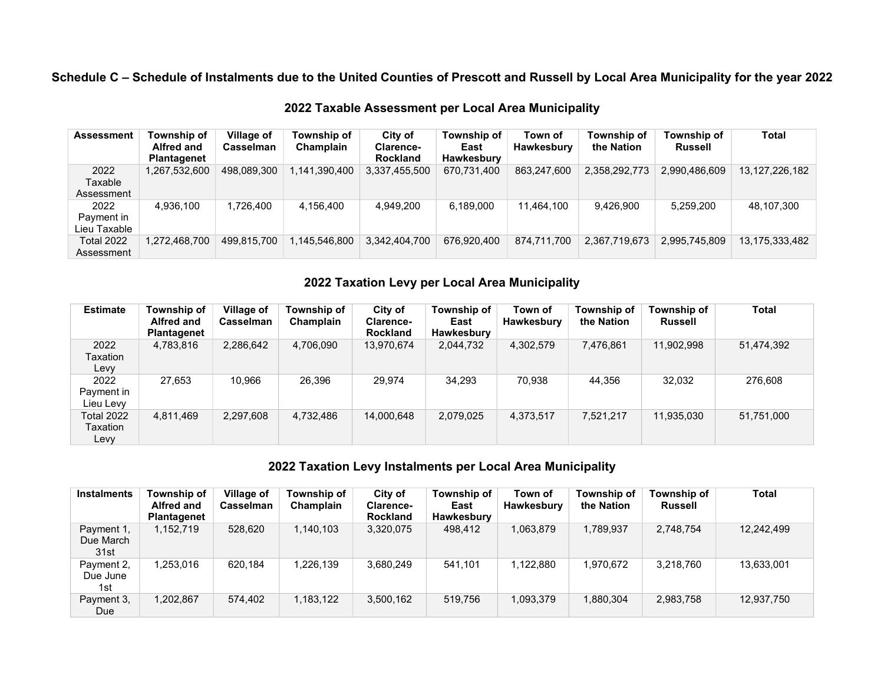**Schedule C – Schedule of Instalments due to the United Counties of Prescott and Russell by Local Area Municipality for the year 2022** 

| <b>Assessment</b> | Township of<br><b>Alfred and</b><br>Plantagenet | Village of<br>Casselman | Township of<br>Champlain | City of<br><b>Clarence-</b><br><b>Rockland</b> | Township of<br>East<br>Hawkesbury | Town of<br><b>Hawkesbury</b> | Township of<br>the Nation | Township of<br><b>Russell</b> | <b>Total</b>      |
|-------------------|-------------------------------------------------|-------------------------|--------------------------|------------------------------------------------|-----------------------------------|------------------------------|---------------------------|-------------------------------|-------------------|
| 2022              | 1,267,532,600                                   | 498.089.300             | 1,141,390,400            | 3,337,455,500                                  | 670,731,400                       | 863,247,600                  | 2,358,292,773             | 2,990,486,609                 | 13, 127, 226, 182 |
| Taxable           |                                                 |                         |                          |                                                |                                   |                              |                           |                               |                   |
| Assessment        |                                                 |                         |                          |                                                |                                   |                              |                           |                               |                   |
| 2022              | 4.936.100                                       | 1.726.400               | 4.156.400                | 4.949.200                                      | 6.189.000                         | 11,464,100                   | 9.426.900                 | 5.259.200                     | 48,107,300        |
| Payment in        |                                                 |                         |                          |                                                |                                   |                              |                           |                               |                   |
| Lieu Taxable      |                                                 |                         |                          |                                                |                                   |                              |                           |                               |                   |
| <b>Total 2022</b> | 1,272,468,700                                   | 499.815.700             | 1.145.546.800            | 3,342,404,700                                  | 676,920,400                       | 874.711.700                  | 2,367,719,673             | 2,995,745,809                 | 13,175,333,482    |
| Assessment        |                                                 |                         |                          |                                                |                                   |                              |                           |                               |                   |

**2022 Taxable Assessment per Local Area Municipality** 

#### **2022 Taxation Levy per Local Area Municipality**

| <b>Estimate</b>                       | Township of<br><b>Alfred and</b><br><b>Plantagenet</b> | <b>Village of</b><br>Casselman | Township of<br>Champlain | City of<br><b>Clarence-</b><br><b>Rockland</b> | Township of<br>East<br>Hawkesbury | Town of<br>Hawkesbury | Township of<br>the Nation | Township of<br><b>Russell</b> | <b>Total</b> |
|---------------------------------------|--------------------------------------------------------|--------------------------------|--------------------------|------------------------------------------------|-----------------------------------|-----------------------|---------------------------|-------------------------------|--------------|
| 2022<br>Taxation<br>Levy              | 4,783,816                                              | 2,286,642                      | 4,706,090                | 13,970,674                                     | 2,044,732                         | 4,302,579             | 7,476,861                 | 11,902,998                    | 51,474,392   |
| 2022<br>Payment in<br>Lieu Levy       | 27,653                                                 | 10.966                         | 26,396                   | 29,974                                         | 34,293                            | 70,938                | 44,356                    | 32,032                        | 276,608      |
| <b>Total 2022</b><br>Taxation<br>Levy | 4,811,469                                              | 2,297,608                      | 4,732,486                | 14,000,648                                     | 2,079,025                         | 4,373,517             | 7,521,217                 | 11,935,030                    | 51,751,000   |

#### **2022 Taxation Levy Instalments per Local Area Municipality**

| <b>Instalments</b>              | Township of<br>Alfred and<br><b>Plantagenet</b> | Village of<br>Casselman | Township of<br>Champlain | City of<br>Clarence-<br><b>Rockland</b> | Township of<br>East<br>Hawkesbury | Town of<br>Hawkesbury | Township of<br>the Nation | Township of<br>Russell | <b>Total</b> |
|---------------------------------|-------------------------------------------------|-------------------------|--------------------------|-----------------------------------------|-----------------------------------|-----------------------|---------------------------|------------------------|--------------|
| Payment 1,<br>Due March<br>31st | 1,152,719                                       | 528,620                 | 1,140,103                | 3,320,075                               | 498,412                           | 1,063,879             | 1,789,937                 | 2,748,754              | 12,242,499   |
| Payment 2,<br>Due June<br>1st   | 1,253,016                                       | 620,184                 | 1,226,139                | 3,680,249                               | 541,101                           | 1,122,880             | 1,970,672                 | 3,218,760              | 13,633,001   |
| Payment 3,<br>Due               | 1,202,867                                       | 574,402                 | 1,183,122                | 3,500,162                               | 519,756                           | 1,093,379             | 1,880,304                 | 2,983,758              | 12,937,750   |